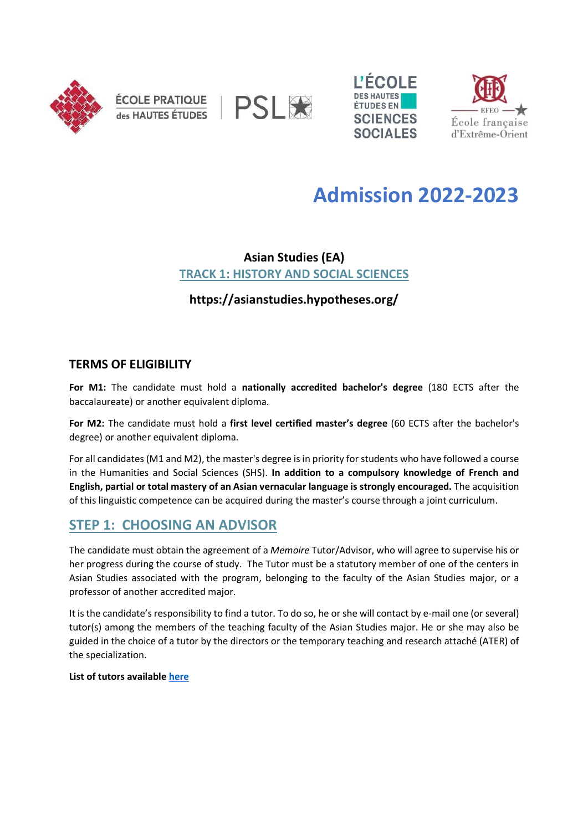







# Admission 2022-2023

## Asian Studies (EA) TRACK 1: HISTORY AND SOCIAL SCIENCES

https://asianstudies.hypotheses.org/

### TERMS OF ELIGIBILITY

For M1: The candidate must hold a nationally accredited bachelor's degree (180 ECTS after the baccalaureate) or another equivalent diploma.

For M2: The candidate must hold a first level certified master's degree (60 ECTS after the bachelor's degree) or another equivalent diploma.

For all candidates (M1 and M2), the master's degree is in priority for students who have followed a course in the Humanities and Social Sciences (SHS). In addition to a compulsory knowledge of French and English, partial or total mastery of an Asian vernacular language is strongly encouraged. The acquisition of this linguistic competence can be acquired during the master's course through a joint curriculum.

# STEP 1: CHOOSING AN ADVISOR

The candidate must obtain the agreement of a Memoire Tutor/Advisor, who will agree to supervise his or her progress during the course of study. The Tutor must be a statutory member of one of the centers in Asian Studies associated with the program, belonging to the faculty of the Asian Studies major, or a professor of another accredited major.

It is the candidate's responsibility to find a tutor. To do so, he or she will contact by e-mail one (or several) tutor(s) among the members of the teaching faculty of the Asian Studies major. He or she may also be guided in the choice of a tutor by the directors or the temporary teaching and research attaché (ATER) of the specialization.

List of tutors available here